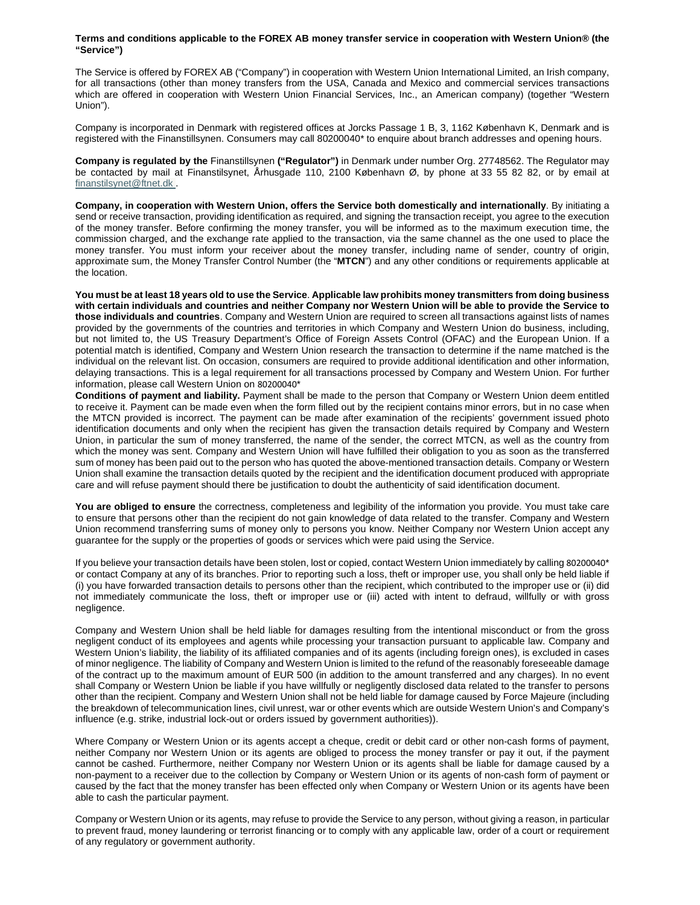## **Terms and conditions applicable to the FOREX AB money transfer service in cooperation with Western Union® (the "Service")**

The Service is offered by FOREX AB ("Company") in cooperation with Western Union International Limited, an Irish company, for all transactions (other than money transfers from the USA, Canada and Mexico and commercial services transactions which are offered in cooperation with Western Union Financial Services, Inc., an American company) (together "Western Union").

Company is incorporated in Denmark with registered offices at Jorcks Passage 1 B, 3, 1162 København K, Denmark and is registered with the Finanstillsynen. Consumers may call 80200040\* to enquire about branch addresses and opening hours.

**Company is regulated by the** Finanstillsynen **("Regulator")** in Denmark under number Org. 27748562. The Regulator may be contacted by mail at Finanstilsynet, Århusgade 110, 2100 København Ø, by phone at 33 55 82 82, or by email at finanstilsynet@ftnet.dk .

**Company, in cooperation with Western Union, offers the Service both domestically and internationally**. By initiating a send or receive transaction, providing identification as required, and signing the transaction receipt, you agree to the execution of the money transfer. Before confirming the money transfer, you will be informed as to the maximum execution time, the commission charged, and the exchange rate applied to the transaction, via the same channel as the one used to place the money transfer. You must inform your receiver about the money transfer, including name of sender, country of origin, approximate sum, the Money Transfer Control Number (the "**MTCN**") and any other conditions or requirements applicable at the location.

**You must be at least 18 years old to use the Service**. **Applicable law prohibits money transmitters from doing business with certain individuals and countries and neither Company nor Western Union will be able to provide the Service to those individuals and countries**. Company and Western Union are required to screen all transactions against lists of names provided by the governments of the countries and territories in which Company and Western Union do business, including, but not limited to, the US Treasury Department's Office of Foreign Assets Control (OFAC) and the European Union. If a potential match is identified, Company and Western Union research the transaction to determine if the name matched is the individual on the relevant list. On occasion, consumers are required to provide additional identification and other information, delaying transactions. This is a legal requirement for all transactions processed by Company and Western Union. For further information, please call Western Union on 80200040\*

**Conditions of payment and liability.** Payment shall be made to the person that Company or Western Union deem entitled to receive it. Payment can be made even when the form filled out by the recipient contains minor errors, but in no case when the MTCN provided is incorrect. The payment can be made after examination of the recipients' government issued photo identification documents and only when the recipient has given the transaction details required by Company and Western Union, in particular the sum of money transferred, the name of the sender, the correct MTCN, as well as the country from which the money was sent. Company and Western Union will have fulfilled their obligation to you as soon as the transferred sum of money has been paid out to the person who has quoted the above-mentioned transaction details. Company or Western Union shall examine the transaction details quoted by the recipient and the identification document produced with appropriate care and will refuse payment should there be justification to doubt the authenticity of said identification document.

**You are obliged to ensure** the correctness, completeness and legibility of the information you provide. You must take care to ensure that persons other than the recipient do not gain knowledge of data related to the transfer. Company and Western Union recommend transferring sums of money only to persons you know. Neither Company nor Western Union accept any guarantee for the supply or the properties of goods or services which were paid using the Service.

If you believe your transaction details have been stolen, lost or copied, contact Western Union immediately by calling 80200040\* or contact Company at any of its branches. Prior to reporting such a loss, theft or improper use, you shall only be held liable if (i) you have forwarded transaction details to persons other than the recipient, which contributed to the improper use or (ii) did not immediately communicate the loss, theft or improper use or (iii) acted with intent to defraud, willfully or with gross negligence.

Company and Western Union shall be held liable for damages resulting from the intentional misconduct or from the gross negligent conduct of its employees and agents while processing your transaction pursuant to applicable law. Company and Western Union's liability, the liability of its affiliated companies and of its agents (including foreign ones), is excluded in cases of minor negligence. The liability of Company and Western Union is limited to the refund of the reasonably foreseeable damage of the contract up to the maximum amount of EUR 500 (in addition to the amount transferred and any charges). In no event shall Company or Western Union be liable if you have willfully or negligently disclosed data related to the transfer to persons other than the recipient. Company and Western Union shall not be held liable for damage caused by Force Majeure (including the breakdown of telecommunication lines, civil unrest, war or other events which are outside Western Union's and Company's influence (e.g. strike, industrial lock-out or orders issued by government authorities)).

Where Company or Western Union or its agents accept a cheque, credit or debit card or other non-cash forms of payment, neither Company nor Western Union or its agents are obliged to process the money transfer or pay it out, if the payment cannot be cashed. Furthermore, neither Company nor Western Union or its agents shall be liable for damage caused by a non-payment to a receiver due to the collection by Company or Western Union or its agents of non-cash form of payment or caused by the fact that the money transfer has been effected only when Company or Western Union or its agents have been able to cash the particular payment.

Company or Western Union or its agents, may refuse to provide the Service to any person, without giving a reason, in particular to prevent fraud, money laundering or terrorist financing or to comply with any applicable law, order of a court or requirement of any regulatory or government authority.